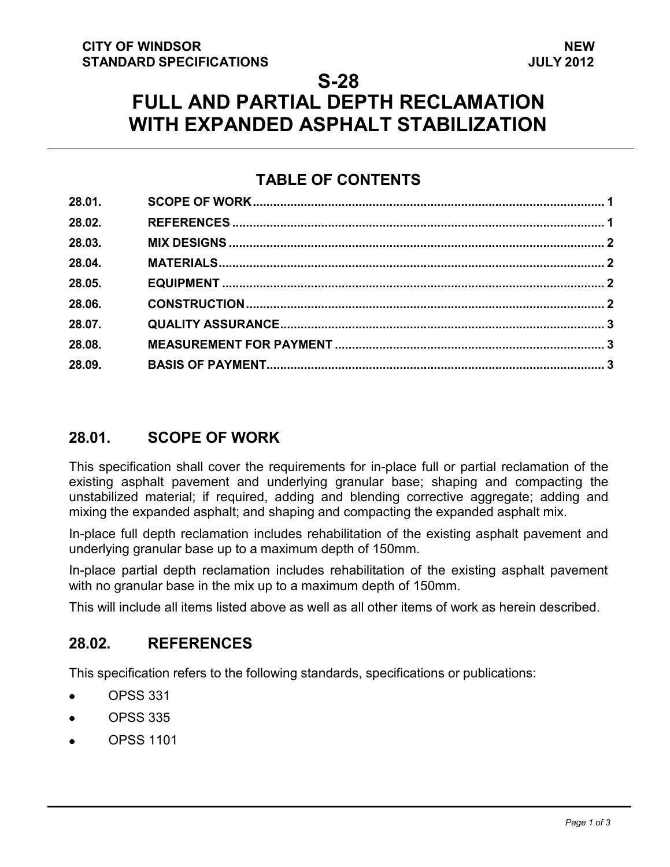### **S-28**

# **FULL AND PARTIAL DEPTH RECLAMATION WITH EXPANDED ASPHALT STABILIZATION**

# **TABLE OF CONTENTS**

| 28.01. |  |
|--------|--|
| 28.02. |  |
| 28.03. |  |
| 28.04. |  |
| 28.05. |  |
| 28.06. |  |
| 28.07. |  |
| 28.08. |  |
| 28.09. |  |

# <span id="page-0-1"></span>**28.01. SCOPE OF WORK**

This specification shall cover the requirements for in-place full or partial reclamation of the existing asphalt pavement and underlying granular base; shaping and compacting the unstabilized material; if required, adding and blending corrective aggregate; adding and mixing the expanded asphalt; and shaping and compacting the expanded asphalt mix.

In-place full depth reclamation includes rehabilitation of the existing asphalt pavement and underlying granular base up to a maximum depth of 150mm.

In-place partial depth reclamation includes rehabilitation of the existing asphalt pavement with no granular base in the mix up to a maximum depth of 150mm.

This will include all items listed above as well as all other items of work as herein described.

### <span id="page-0-0"></span>**28.02. REFERENCES**

This specification refers to the following standards, specifications or publications:

- OPSS 331
- OPSS 335
- OPSS 1101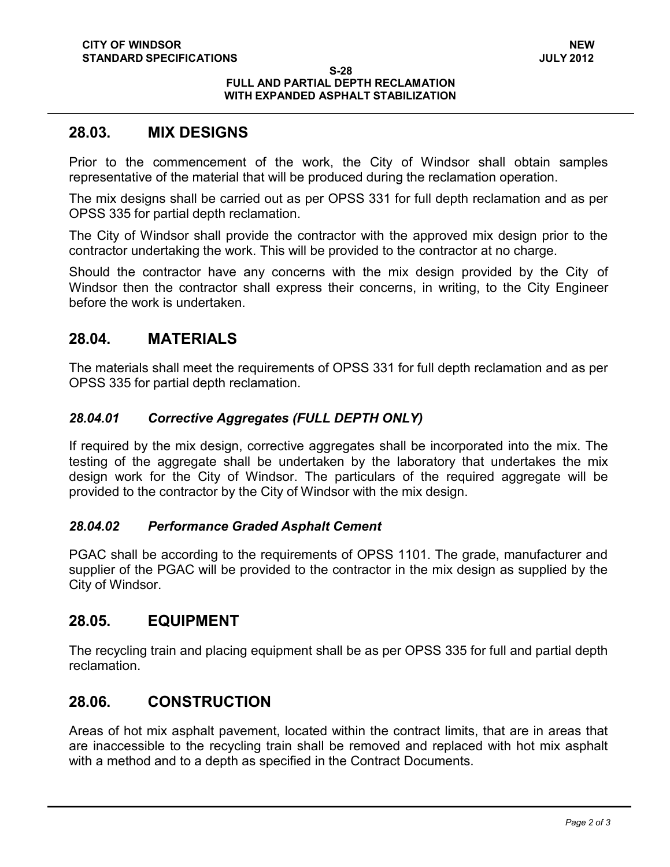#### **S-28 FULL AND PARTIAL DEPTH RECLAMATION WITH EXPANDED ASPHALT STABILIZATION**

#### <span id="page-1-0"></span>**28.03. MIX DESIGNS**

Prior to the commencement of the work, the City of Windsor shall obtain samples representative of the material that will be produced during the reclamation operation.

The mix designs shall be carried out as per OPSS 331 for full depth reclamation and as per OPSS 335 for partial depth reclamation.

The City of Windsor shall provide the contractor with the approved mix design prior to the contractor undertaking the work. This will be provided to the contractor at no charge.

Should the contractor have any concerns with the mix design provided by the City of Windsor then the contractor shall express their concerns, in writing, to the City Engineer before the work is undertaken.

### <span id="page-1-1"></span>**28.04. MATERIALS**

The materials shall meet the requirements of OPSS 331 for full depth reclamation and as per OPSS 335 for partial depth reclamation.

#### *28.04.01 Corrective Aggregates (FULL DEPTH ONLY)*

If required by the mix design, corrective aggregates shall be incorporated into the mix. The testing of the aggregate shall be undertaken by the laboratory that undertakes the mix design work for the City of Windsor. The particulars of the required aggregate will be provided to the contractor by the City of Windsor with the mix design.

#### *28.04.02 Performance Graded Asphalt Cement*

PGAC shall be according to the requirements of OPSS 1101. The grade, manufacturer and supplier of the PGAC will be provided to the contractor in the mix design as supplied by the City of Windsor.

### <span id="page-1-2"></span>**28.05. EQUIPMENT**

The recycling train and placing equipment shall be as per OPSS 335 for full and partial depth reclamation.

### <span id="page-1-3"></span>**28.06. CONSTRUCTION**

Areas of hot mix asphalt pavement, located within the contract limits, that are in areas that are inaccessible to the recycling train shall be removed and replaced with hot mix asphalt with a method and to a depth as specified in the Contract Documents.